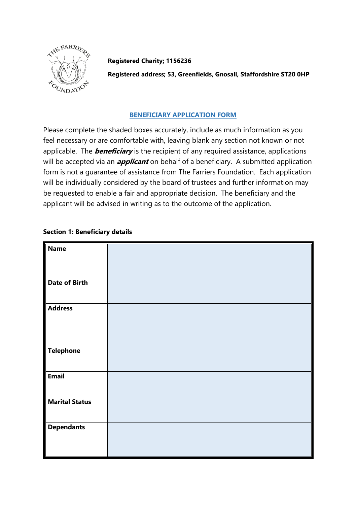

**Registered Charity; 1156236**

**Registered address; 53, Greenfields, Gnosall, Staffordshire ST20 0HP**

## **BENEFICIARY APPLICATION FORM**

Please complete the shaded boxes accurately, include as much information as you feel necessary or are comfortable with, leaving blank any section not known or not applicable. The **beneficiary** is the recipient of any required assistance, applications will be accepted via an **applicant** on behalf of a beneficiary. A submitted application form is not a guarantee of assistance from The Farriers Foundation. Each application will be individually considered by the board of trustees and further information may be requested to enable a fair and appropriate decision. The beneficiary and the applicant will be advised in writing as to the outcome of the application.

## **Section 1: Beneficiary details**

| Name                  |  |
|-----------------------|--|
| <b>Date of Birth</b>  |  |
| Address               |  |
| Telephone             |  |
| Email                 |  |
| <b>Marital Status</b> |  |
| <b>Dependants</b>     |  |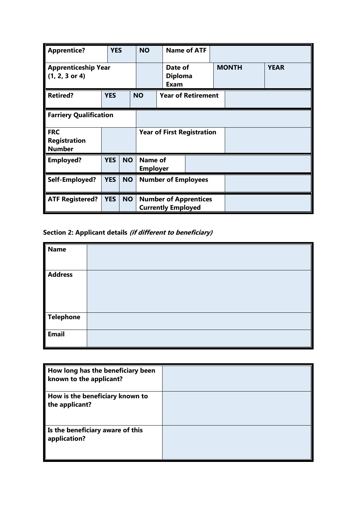| <b>Apprentice?</b>                                 | <b>YES</b>                    |           | <b>NO</b>                                                 |                                          | <b>Name of ATF</b> |  |              |             |
|----------------------------------------------------|-------------------------------|-----------|-----------------------------------------------------------|------------------------------------------|--------------------|--|--------------|-------------|
| <b>Apprenticeship Year</b><br>$(1, 2, 3$ or 4)     |                               |           |                                                           | Date of<br><b>Diploma</b><br><b>Exam</b> |                    |  | <b>MONTH</b> | <b>YEAR</b> |
| <b>Retired?</b>                                    | <b>YES</b>                    |           | <b>NO</b>                                                 | <b>Year of Retirement</b>                |                    |  |              |             |
|                                                    | <b>Farriery Qualification</b> |           |                                                           |                                          |                    |  |              |             |
| <b>FRC</b><br><b>Registration</b><br><b>Number</b> |                               |           |                                                           | <b>Year of First Registration</b>        |                    |  |              |             |
| <b>Employed?</b>                                   | <b>YES</b>                    | <b>NO</b> |                                                           | Name of<br><b>Employer</b>               |                    |  |              |             |
| Self-Employed?                                     | <b>YES</b>                    | <b>NO</b> | <b>Number of Employees</b>                                |                                          |                    |  |              |             |
| <b>ATF Registered?</b>                             | <b>YES</b>                    | <b>NO</b> | <b>Number of Apprentices</b><br><b>Currently Employed</b> |                                          |                    |  |              |             |

## **Section 2: Applicant details (if different to beneficiary)**

| Name<br>$\frac{1}{\sqrt{\frac{1}{4}}$ Address |  |
|-----------------------------------------------|--|
| Telephone<br>Email                            |  |
|                                               |  |
|                                               |  |

| How long has the beneficiary been<br>known to the applicant? |  |
|--------------------------------------------------------------|--|
| How is the beneficiary known to<br>the applicant?            |  |
| Is the beneficiary aware of this<br>application?             |  |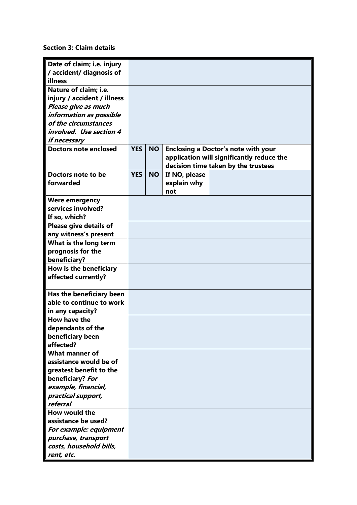**Section 3: Claim details**

| Date of claim; i.e. injury   |            |           |               |                                            |
|------------------------------|------------|-----------|---------------|--------------------------------------------|
| / accident/ diagnosis of     |            |           |               |                                            |
| illness                      |            |           |               |                                            |
| Nature of claim; i.e.        |            |           |               |                                            |
| injury / accident / illness  |            |           |               |                                            |
| Please give as much          |            |           |               |                                            |
| information as possible      |            |           |               |                                            |
| of the circumstances         |            |           |               |                                            |
| involved. Use section 4      |            |           |               |                                            |
| if necessary                 |            |           |               |                                            |
| <b>Doctors note enclosed</b> | <b>YES</b> | <b>NO</b> |               | <b>Enclosing a Doctor's note with your</b> |
|                              |            |           |               | application will significantly reduce the  |
|                              |            |           |               | decision time taken by the trustees        |
| Doctors note to be           | <b>YES</b> | <b>NO</b> | If NO, please |                                            |
| forwarded                    |            |           | explain why   |                                            |
|                              |            |           | not           |                                            |
| <b>Were emergency</b>        |            |           |               |                                            |
| services involved?           |            |           |               |                                            |
| If so, which?                |            |           |               |                                            |
| Please give details of       |            |           |               |                                            |
| any witness's present        |            |           |               |                                            |
| What is the long term        |            |           |               |                                            |
| prognosis for the            |            |           |               |                                            |
| beneficiary?                 |            |           |               |                                            |
| How is the beneficiary       |            |           |               |                                            |
| affected currently?          |            |           |               |                                            |
|                              |            |           |               |                                            |
| Has the beneficiary been     |            |           |               |                                            |
| able to continue to work     |            |           |               |                                            |
| in any capacity?             |            |           |               |                                            |
| How have the                 |            |           |               |                                            |
| dependants of the            |            |           |               |                                            |
| beneficiary been             |            |           |               |                                            |
| affected?                    |            |           |               |                                            |
| <b>What manner of</b>        |            |           |               |                                            |
| assistance would be of       |            |           |               |                                            |
| greatest benefit to the      |            |           |               |                                            |
| beneficiary? For             |            |           |               |                                            |
| example, financial,          |            |           |               |                                            |
| practical support,           |            |           |               |                                            |
| referral                     |            |           |               |                                            |
| How would the                |            |           |               |                                            |
| assistance be used?          |            |           |               |                                            |
| For example: equipment       |            |           |               |                                            |
| purchase, transport          |            |           |               |                                            |
|                              |            |           |               |                                            |
| costs, household bills,      |            |           |               |                                            |
| rent, etc.                   |            |           |               |                                            |